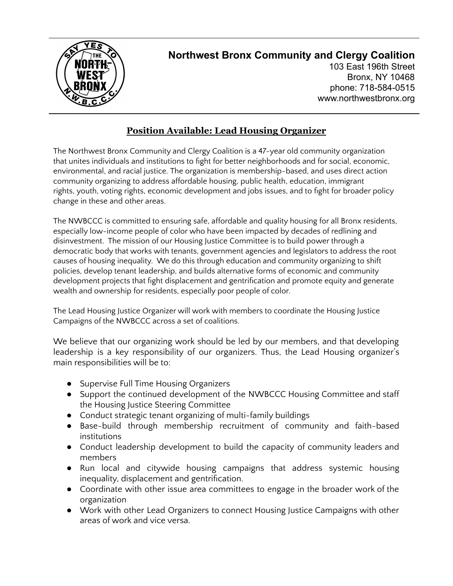

## **Northwest Bronx Community and Clergy Coalition**

103 East 196th Street Bronx, NY 10468 phone: 718-584-0515 www.northwestbronx.org

## **Position Available: Lead Housing Organizer**

The Northwest Bronx Community and Clergy Coalition is a 47-year old community organization that unites individuals and institutions to fight for better neighborhoods and for social, economic, environmental, and racial justice. The organization is membership-based, and uses direct action community organizing to address affordable housing, public health, education, immigrant rights, youth, voting rights, economic development and jobs issues, and to fight for broader policy change in these and other areas.

The NWBCCC is committed to ensuring safe, affordable and quality housing for all Bronx residents, especially low-income people of color who have been impacted by decades of redlining and disinvestment. The mission of our Housing Justice Committee is to build power through a democratic body that works with tenants, government agencies and legislators to address the root causes of housing inequality. We do this through education and community organizing to shift policies, develop tenant leadership, and builds alternative forms of economic and community development projects that fight displacement and gentrification and promote equity and generate wealth and ownership for residents, especially poor people of color.

The Lead Housing Justice Organizer will work with members to coordinate the Housing Justice Campaigns of the NWBCCC across a set of coalitions.

We believe that our organizing work should be led by our members, and that developing leadership is a key responsibility of our organizers. Thus, the Lead Housing organizer's main responsibilities will be to:

- Supervise Full Time Housing Organizers
- Support the continued development of the NWBCCC Housing Committee and staff the Housing Justice Steering Committee
- Conduct strategic tenant organizing of multi-family buildings
- Base-build through membership recruitment of community and faith-based institutions
- Conduct leadership development to build the capacity of community leaders and members
- Run local and citywide housing campaigns that address systemic housing inequality, displacement and gentrification.
- Coordinate with other issue area committees to engage in the broader work of the organization
- Work with other Lead Organizers to connect Housing Justice Campaigns with other areas of work and vice versa.